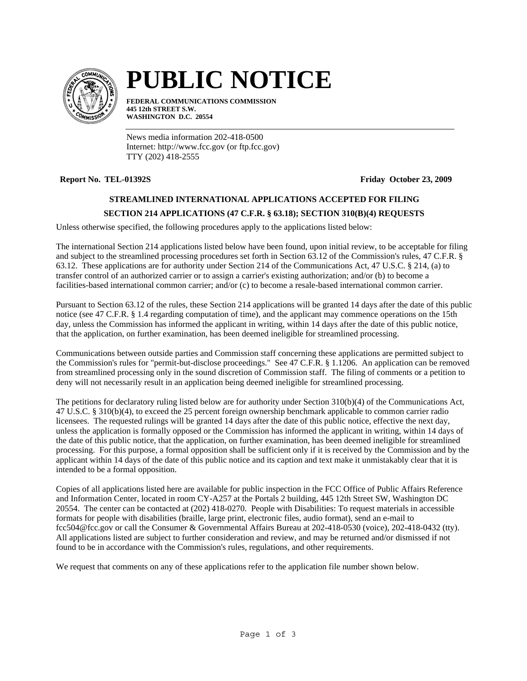

# **PUBLIC NOTICE**

**FEDERAL COMMUNICATIONS COMMISSION 445 12th STREET S.W. WASHINGTON D.C. 20554**

News media information 202-418-0500 Internet: http://www.fcc.gov (or ftp.fcc.gov) TTY (202) 418-2555

**Report No. TEL-01392S Friday October 23, 2009**

# **STREAMLINED INTERNATIONAL APPLICATIONS ACCEPTED FOR FILING**

# **SECTION 214 APPLICATIONS (47 C.F.R. § 63.18); SECTION 310(B)(4) REQUESTS**

Unless otherwise specified, the following procedures apply to the applications listed below:

The international Section 214 applications listed below have been found, upon initial review, to be acceptable for filing and subject to the streamlined processing procedures set forth in Section 63.12 of the Commission's rules, 47 C.F.R. § 63.12. These applications are for authority under Section 214 of the Communications Act, 47 U.S.C. § 214, (a) to transfer control of an authorized carrier or to assign a carrier's existing authorization; and/or (b) to become a facilities-based international common carrier; and/or (c) to become a resale-based international common carrier.

Pursuant to Section 63.12 of the rules, these Section 214 applications will be granted 14 days after the date of this public notice (see 47 C.F.R. § 1.4 regarding computation of time), and the applicant may commence operations on the 15th day, unless the Commission has informed the applicant in writing, within 14 days after the date of this public notice, that the application, on further examination, has been deemed ineligible for streamlined processing.

Communications between outside parties and Commission staff concerning these applications are permitted subject to the Commission's rules for "permit-but-disclose proceedings." See 47 C.F.R. § 1.1206. An application can be removed from streamlined processing only in the sound discretion of Commission staff. The filing of comments or a petition to deny will not necessarily result in an application being deemed ineligible for streamlined processing.

The petitions for declaratory ruling listed below are for authority under Section 310(b)(4) of the Communications Act, 47 U.S.C. § 310(b)(4), to exceed the 25 percent foreign ownership benchmark applicable to common carrier radio licensees. The requested rulings will be granted 14 days after the date of this public notice, effective the next day, unless the application is formally opposed or the Commission has informed the applicant in writing, within 14 days of the date of this public notice, that the application, on further examination, has been deemed ineligible for streamlined processing. For this purpose, a formal opposition shall be sufficient only if it is received by the Commission and by the applicant within 14 days of the date of this public notice and its caption and text make it unmistakably clear that it is intended to be a formal opposition.

Copies of all applications listed here are available for public inspection in the FCC Office of Public Affairs Reference and Information Center, located in room CY-A257 at the Portals 2 building, 445 12th Street SW, Washington DC 20554. The center can be contacted at (202) 418-0270. People with Disabilities: To request materials in accessible formats for people with disabilities (braille, large print, electronic files, audio format), send an e-mail to fcc504@fcc.gov or call the Consumer & Governmental Affairs Bureau at 202-418-0530 (voice), 202-418-0432 (tty). All applications listed are subject to further consideration and review, and may be returned and/or dismissed if not found to be in accordance with the Commission's rules, regulations, and other requirements.

We request that comments on any of these applications refer to the application file number shown below.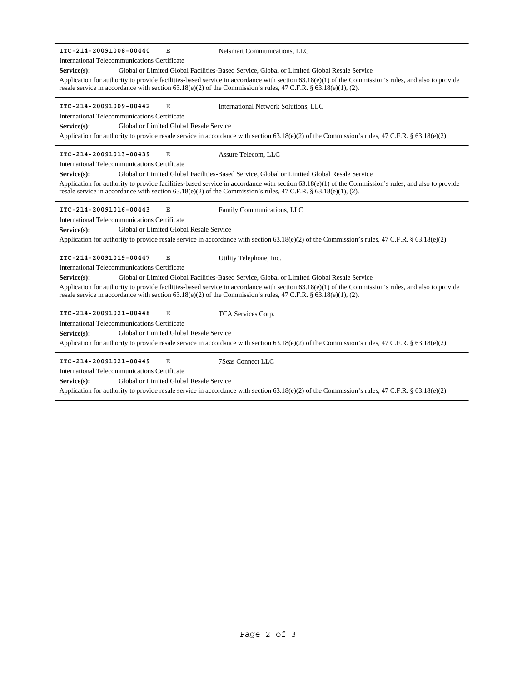| ITC-214-20091008-00440<br>Ε<br>Netsmart Communications, LLC                                                                                                                                                                                                                   |
|-------------------------------------------------------------------------------------------------------------------------------------------------------------------------------------------------------------------------------------------------------------------------------|
| <b>International Telecommunications Certificate</b>                                                                                                                                                                                                                           |
| Global or Limited Global Facilities-Based Service, Global or Limited Global Resale Service<br>$Service(s)$ :                                                                                                                                                                  |
| Application for authority to provide facilities-based service in accordance with section $(3.18(e)(1))$ of the Commission's rules, and also to provide<br>resale service in accordance with section $63.18(e)(2)$ of the Commission's rules, 47 C.F.R. § $63.18(e)(1)$ , (2). |
| ITC-214-20091009-00442<br>Ε<br>International Network Solutions, LLC                                                                                                                                                                                                           |
| International Telecommunications Certificate                                                                                                                                                                                                                                  |
| Global or Limited Global Resale Service<br>Service(s):                                                                                                                                                                                                                        |
| Application for authority to provide resale service in accordance with section 63.18(e)(2) of the Commission's rules, 47 C.F.R. § 63.18(e)(2).                                                                                                                                |
| ITC-214-20091013-00439<br>$\mathbf E$<br>Assure Telecom, LLC                                                                                                                                                                                                                  |
| International Telecommunications Certificate                                                                                                                                                                                                                                  |
| Global or Limited Global Facilities-Based Service, Global or Limited Global Resale Service<br>Service(s):                                                                                                                                                                     |
| Application for authority to provide facilities-based service in accordance with section $63.18(e)(1)$ of the Commission's rules, and also to provide<br>resale service in accordance with section $63.18(e)(2)$ of the Commission's rules, 47 C.F.R. § $63.18(e)(1)$ , (2).  |
| ITC-214-20091016-00443<br>Ε<br>Family Communications, LLC                                                                                                                                                                                                                     |
| International Telecommunications Certificate                                                                                                                                                                                                                                  |
| Global or Limited Global Resale Service<br>Service(s):                                                                                                                                                                                                                        |
| Application for authority to provide resale service in accordance with section $63.18(e)(2)$ of the Commission's rules, 47 C.F.R. § 63.18(e)(2).                                                                                                                              |
| ITC-214-20091019-00447<br>Ε<br>Utility Telephone, Inc.                                                                                                                                                                                                                        |
| International Telecommunications Certificate                                                                                                                                                                                                                                  |
| Global or Limited Global Facilities-Based Service, Global or Limited Global Resale Service<br>Service(s):                                                                                                                                                                     |
| Application for authority to provide facilities-based service in accordance with section $63.18(e)(1)$ of the Commission's rules, and also to provide<br>resale service in accordance with section $63.18(e)(2)$ of the Commission's rules, 47 C.F.R. § $63.18(e)(1)$ , (2).  |
| ITC-214-20091021-00448<br>$\mathbf{E}% _{0}$<br>TCA Services Corp.                                                                                                                                                                                                            |
| <b>International Telecommunications Certificate</b>                                                                                                                                                                                                                           |
| Global or Limited Global Resale Service<br>Service(s):                                                                                                                                                                                                                        |
| Application for authority to provide resale service in accordance with section 63.18(e)(2) of the Commission's rules, 47 C.F.R. § 63.18(e)(2).                                                                                                                                |
| ITC-214-20091021-00449<br>$\mathbf{E}% _{0}$<br><b>7Seas Connect LLC</b>                                                                                                                                                                                                      |
| <b>International Telecommunications Certificate</b>                                                                                                                                                                                                                           |
| Global or Limited Global Resale Service<br>Service(s):                                                                                                                                                                                                                        |
| Application for authority to provide resale service in accordance with section $63.18(e)(2)$ of the Commission's rules, 47 C.F.R. § 63.18(e)(2).                                                                                                                              |